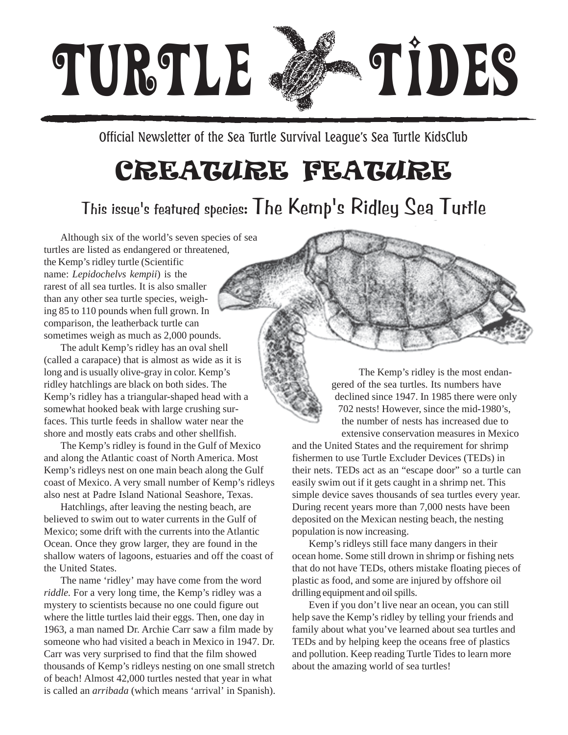

Official Newsletter of the Sea Turtle Survival League's Sea Turtle KidsClub

### CREATURE FEATURE

#### This issue's featured species: The Kemp's Ridley Sea Turtle

Although six of the world's seven species of sea turtles are listed as endangered or threatened, the Kemp's ridley turtle (Scientific name: *Lepidochelvs kempii*) is the rarest of all sea turtles. It is also smaller than any other sea turtle species, weighing 85 to 110 pounds when full grown. In comparison, the leatherback turtle can sometimes weigh as much as 2,000 pounds.

The adult Kemp's ridley has an oval shell (called a carapace) that is almost as wide as it is long and is usually olive-gray in color. Kemp's ridley hatchlings are black on both sides. The Kemp's ridley has a triangular-shaped head with a somewhat hooked beak with large crushing surfaces. This turtle feeds in shallow water near the shore and mostly eats crabs and other shellfish.

The Kemp's ridley is found in the Gulf of Mexico and along the Atlantic coast of North America. Most Kemp's ridleys nest on one main beach along the Gulf coast of Mexico. A very small number of Kemp's ridleys also nest at Padre Island National Seashore, Texas.

Hatchlings, after leaving the nesting beach, are believed to swim out to water currents in the Gulf of Mexico; some drift with the currents into the Atlantic Ocean. Once they grow larger, they are found in the shallow waters of lagoons, estuaries and off the coast of the United States.

The name 'ridley' may have come from the word *riddle.* For a very long time, the Kemp's ridley was a mystery to scientists because no one could figure out where the little turtles laid their eggs. Then, one day in 1963, a man named Dr. Archie Carr saw a film made by someone who had visited a beach in Mexico in 1947. Dr. Carr was very surprised to find that the film showed thousands of Kemp's ridleys nesting on one small stretch of beach! Almost 42,000 turtles nested that year in what is called an *arribada* (which means 'arrival' in Spanish).

The Kemp's ridley is the most endangered of the sea turtles. Its numbers have declined since 1947. In 1985 there were only 702 nests! However, since the mid-1980's, the number of nests has increased due to extensive conservation measures in Mexico

and the United States and the requirement for shrimp fishermen to use Turtle Excluder Devices (TEDs) in their nets. TEDs act as an "escape door" so a turtle can easily swim out if it gets caught in a shrimp net. This simple device saves thousands of sea turtles every year. During recent years more than 7,000 nests have been deposited on the Mexican nesting beach, the nesting population is now increasing.

Kemp's ridleys still face many dangers in their ocean home. Some still drown in shrimp or fishing nets that do not have TEDs, others mistake floating pieces of plastic as food, and some are injured by offshore oil drilling equipment and oil spills.

Even if you don't live near an ocean, you can still help save the Kemp's ridley by telling your friends and family about what you've learned about sea turtles and TEDs and by helping keep the oceans free of plastics and pollution. Keep reading Turtle Tides to learn more about the amazing world of sea turtles!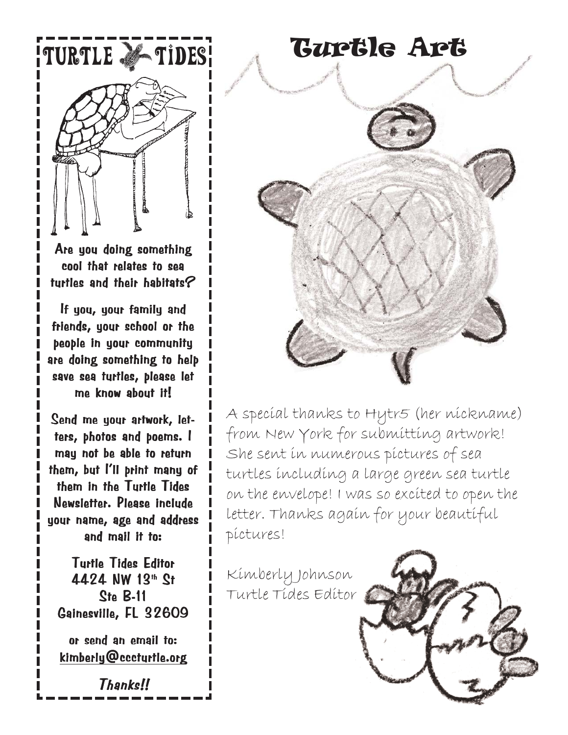

Are you doing something cool that relates to sea turtles and their habitats?

If you, your family and friends, your school or the people in your community are doing something to help save sea turtles, please let me know about it!

Send me your artwork, letters, photos and poems. I may not be able to return them, but I'll print many of them in the Turtle Tides Newsletter. Please include your name, age and address and mail it to:

Turtle Tides Editor 4424 NW 13th St  $Ste$  B-11 Gainesville, FL 32609

or send an email to: kimberly@cccturtle.org

Thanks!!

TURTLE & TIDES! GUPGIG APG

A special thanks to Hytr5 (her nickname) from New York for submitting artwork! She sent in numerous pictures of sea turtles including a large green sea turtle on the envelope! I was so excited to open the letter. Thanks again for your beautiful pictures!

Kimberly Johnson Turtle Tides Editor

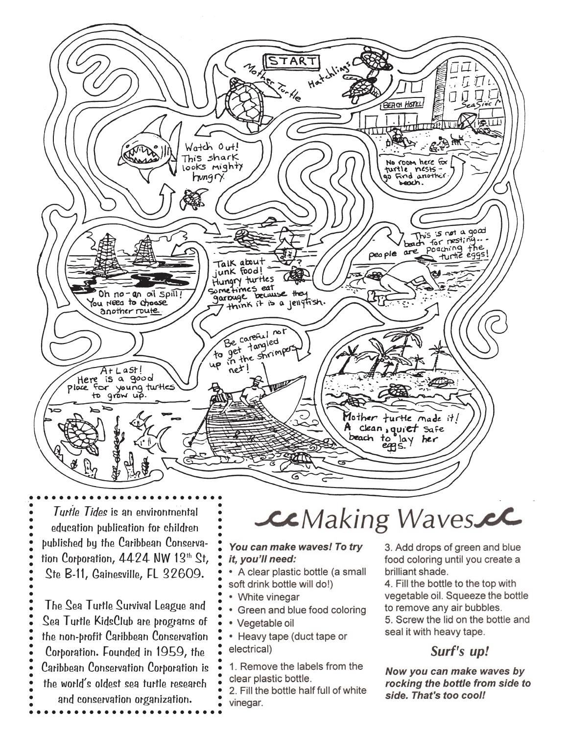

Turtle Tides is an environmental education publication for children published by the Caribbean Conservation Corporation, 4424 NW 13th St, Ste B-11, Gainesville, FL 32609.

The Sea Turtle Survival League and Sea Turtle KidsClub are programs of the non-profit Caribbean Conservation Corporation. Founded in 1959, the Caribbean Conservation Corporation is the world's oldest sea turtle research and conservation organization.

## CCMaking Waves.cl

You can make waves! To try it, you'll need:

- A clear plastic bottle (a small soft drink bottle will do!)
- White vinegar
- Green and blue food coloring
- Vegetable oil
- Heavy tape (duct tape or electrical)
- 1. Remove the labels from the clear plastic bottle.

2. Fill the bottle half full of white vinegar.

3. Add drops of green and blue food coloring until you create a brilliant shade.

4. Fill the bottle to the top with vegetable oil. Squeeze the bottle to remove any air bubbles.

5. Screw the lid on the bottle and seal it with heavy tape.

#### Surf's up!

Now you can make waves by rocking the bottle from side to side. That's too cool!